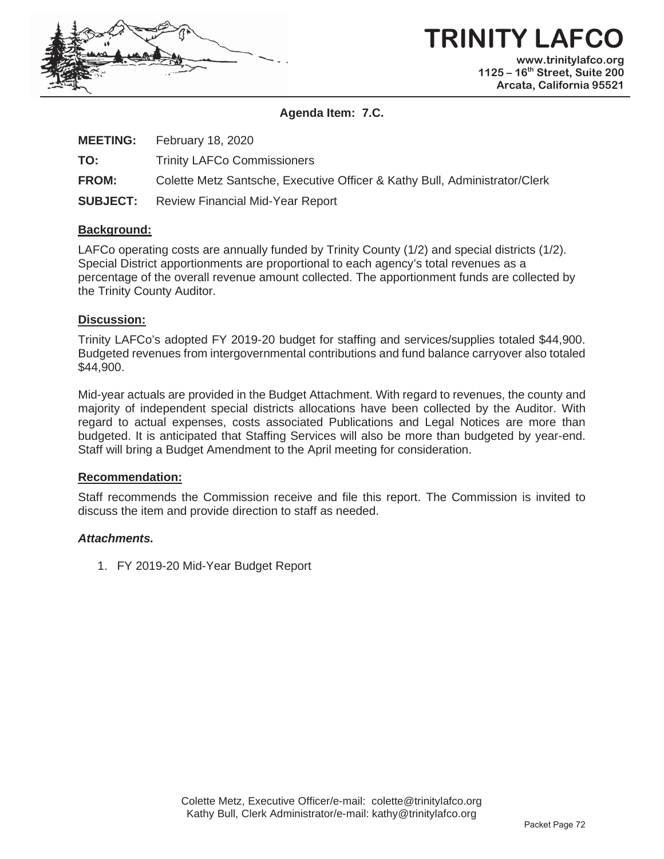

## **TRINITY LAFCO www.trinitylafco.org**

**1125 – 16th Street, Suite 200 Arcata, California 95521** 

#### **Agenda Item: 7.C.**

| <b>MEETING:</b> | February 18, 2020                                                          |
|-----------------|----------------------------------------------------------------------------|
| TO:             | <b>Trinity LAFCo Commissioners</b>                                         |
| <b>FROM:</b>    | Colette Metz Santsche, Executive Officer & Kathy Bull, Administrator/Clerk |
| <b>SUBJECT:</b> | Review Financial Mid-Year Report                                           |

#### **Background:**

LAFCo operating costs are annually funded by Trinity County (1/2) and special districts (1/2). Special District apportionments are proportional to each agency's total revenues as a percentage of the overall revenue amount collected. The apportionment funds are collected by the Trinity County Auditor.

#### **Discussion:**

Trinity LAFCo's adopted FY 2019-20 budget for staffing and services/supplies totaled \$44,900. Budgeted revenues from intergovernmental contributions and fund balance carryover also totaled \$44,900.

Mid-year actuals are provided in the Budget Attachment. With regard to revenues, the county and majority of independent special districts allocations have been collected by the Auditor. With regard to actual expenses, costs associated Publications and Legal Notices are more than budgeted. It is anticipated that Staffing Services will also be more than budgeted by year-end. Staff will bring a Budget Amendment to the April meeting for consideration.

#### **Recommendation:**

Staff recommends the Commission receive and file this report. The Commission is invited to discuss the item and provide direction to staff as needed.

#### *Attachments.*

1. FY 2019-20 Mid-Year Budget Report